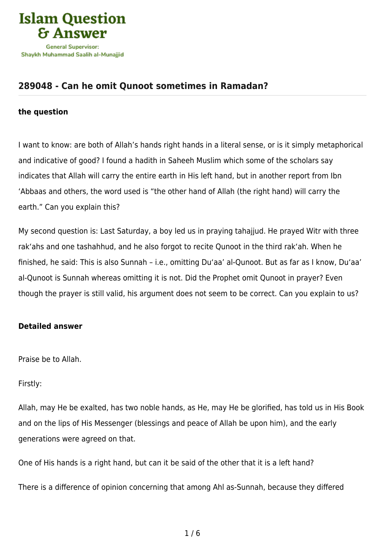

## **[289048 - Can he omit Qunoot sometimes in Ramadan?](https://islamqa.com/en/answers/289048/can-he-omit-qunoot-sometimes-in-ramadan)**

## **the question**

I want to know: are both of Allah's hands right hands in a literal sense, or is it simply metaphorical and indicative of good? I found a hadith in Saheeh Muslim which some of the scholars say indicates that Allah will carry the entire earth in His left hand, but in another report from Ibn 'Abbaas and others, the word used is "the other hand of Allah (the right hand) will carry the earth." Can you explain this?

My second question is: Last Saturday, a boy led us in praying tahajjud. He prayed Witr with three rak'ahs and one tashahhud, and he also forgot to recite Qunoot in the third rak'ah. When he finished, he said: This is also Sunnah – i.e., omitting Du'aa' al-Qunoot. But as far as I know, Du'aa' al-Qunoot is Sunnah whereas omitting it is not. Did the Prophet omit Qunoot in prayer? Even though the prayer is still valid, his argument does not seem to be correct. Can you explain to us?

## **Detailed answer**

Praise be to Allah.

Firstly:

Allah, may He be exalted, has two noble hands, as He, may He be glorified, has told us in His Book and on the lips of His Messenger (blessings and peace of Allah be upon him), and the early generations were agreed on that.

One of His hands is a right hand, but can it be said of the other that it is a left hand?

There is a difference of opinion concerning that among Ahl as-Sunnah, because they differed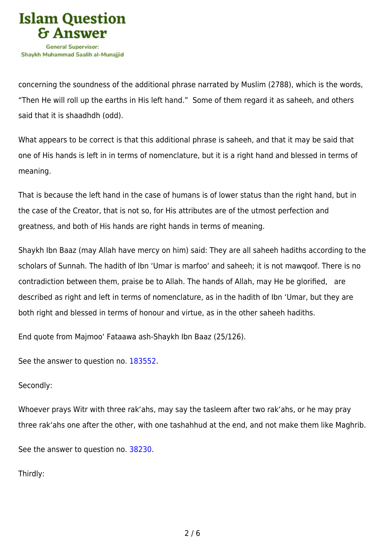

concerning the soundness of the additional phrase narrated by Muslim (2788), which is the words, "Then He will roll up the earths in His left hand." Some of them regard it as saheeh, and others said that it is shaadhdh (odd).

What appears to be correct is that this additional phrase is saheeh, and that it may be said that one of His hands is left in in terms of nomenclature, but it is a right hand and blessed in terms of meaning.

That is because the left hand in the case of humans is of lower status than the right hand, but in the case of the Creator, that is not so, for His attributes are of the utmost perfection and greatness, and both of His hands are right hands in terms of meaning.

Shaykh Ibn Baaz (may Allah have mercy on him) said: They are all saheeh hadiths according to the scholars of Sunnah. The hadith of Ibn 'Umar is marfoo' and saheeh; it is not mawqoof. There is no contradiction between them, praise be to Allah. The hands of Allah, may He be glorified, are described as right and left in terms of nomenclature, as in the hadith of Ibn 'Umar, but they are both right and blessed in terms of honour and virtue, as in the other saheeh hadiths.

End quote from Majmoo' Fataawa ash-Shaykh Ibn Baaz (25/126).

See the answer to question no. [183552](https://islamqa.com/en/answers/183552).

## Secondly:

Whoever prays Witr with three rak'ahs, may say the tasleem after two rak'ahs, or he may pray three rak'ahs one after the other, with one tashahhud at the end, and not make them like Maghrib.

See the answer to question no. [38230](https://islamqa.com/en/answers/38230).

Thirdly: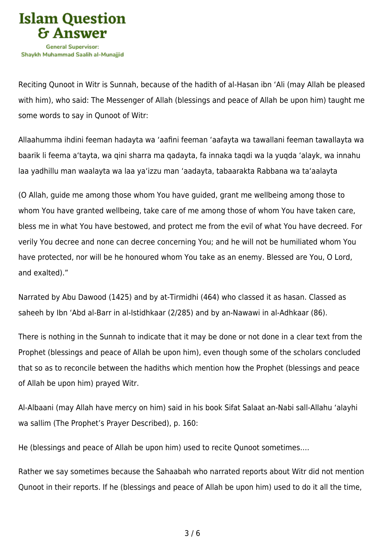

Reciting Qunoot in Witr is Sunnah, because of the hadith of al-Hasan ibn 'Ali (may Allah be pleased with him), who said: The Messenger of Allah (blessings and peace of Allah be upon him) taught me some words to say in Qunoot of Witr:

Allaahumma ihdini feeman hadayta wa 'aafini feeman 'aafayta wa tawallani feeman tawallayta wa baarik li feema a'tayta, wa qini sharra ma qadayta, fa innaka taqdi wa la yuqda 'alayk, wa innahu laa yadhillu man waalayta wa laa ya'izzu man 'aadayta, tabaarakta Rabbana wa ta'aalayta

(O Allah, guide me among those whom You have guided, grant me wellbeing among those to whom You have granted wellbeing, take care of me among those of whom You have taken care, bless me in what You have bestowed, and protect me from the evil of what You have decreed. For verily You decree and none can decree concerning You; and he will not be humiliated whom You have protected, nor will be he honoured whom You take as an enemy. Blessed are You, O Lord, and exalted)."

Narrated by Abu Dawood (1425) and by at-Tirmidhi (464) who classed it as hasan. Classed as saheeh by Ibn 'Abd al-Barr in al-Istidhkaar (2/285) and by an-Nawawi in al-Adhkaar (86).

There is nothing in the Sunnah to indicate that it may be done or not done in a clear text from the Prophet (blessings and peace of Allah be upon him), even though some of the scholars concluded that so as to reconcile between the hadiths which mention how the Prophet (blessings and peace of Allah be upon him) prayed Witr.

Al-Albaani (may Allah have mercy on him) said in his book Sifat Salaat an-Nabi sall-Allahu 'alayhi wa sallim (The Prophet's Prayer Described), p. 160:

He (blessings and peace of Allah be upon him) used to recite Qunoot sometimes….

Rather we say sometimes because the Sahaabah who narrated reports about Witr did not mention Qunoot in their reports. If he (blessings and peace of Allah be upon him) used to do it all the time,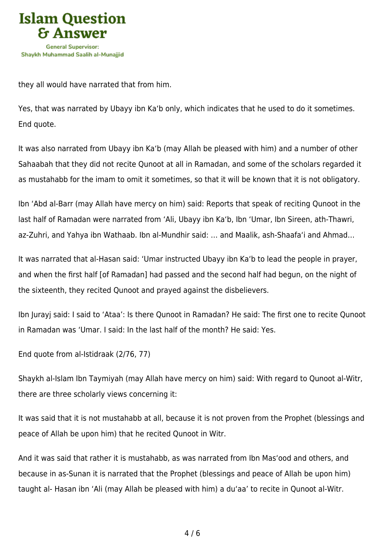

they all would have narrated that from him.

Yes, that was narrated by Ubayy ibn Ka'b only, which indicates that he used to do it sometimes. End quote.

It was also narrated from Ubayy ibn Ka'b (may Allah be pleased with him) and a number of other Sahaabah that they did not recite Qunoot at all in Ramadan, and some of the scholars regarded it as mustahabb for the imam to omit it sometimes, so that it will be known that it is not obligatory.

Ibn 'Abd al-Barr (may Allah have mercy on him) said: Reports that speak of reciting Qunoot in the last half of Ramadan were narrated from 'Ali, Ubayy ibn Ka'b, Ibn 'Umar, Ibn Sireen, ath-Thawri, az-Zuhri, and Yahya ibn Wathaab. Ibn al-Mundhir said: … and Maalik, ash-Shaafa'i and Ahmad…

It was narrated that al-Hasan said: 'Umar instructed Ubayy ibn Ka'b to lead the people in prayer, and when the first half [of Ramadan] had passed and the second half had begun, on the night of the sixteenth, they recited Qunoot and prayed against the disbelievers.

Ibn Jurayj said: I said to 'Ataa': Is there Qunoot in Ramadan? He said: The first one to recite Qunoot in Ramadan was 'Umar. I said: In the last half of the month? He said: Yes.

End quote from al-Istidraak (2/76, 77)

Shaykh al-Islam Ibn Taymiyah (may Allah have mercy on him) said: With regard to Qunoot al-Witr, there are three scholarly views concerning it:

It was said that it is not mustahabb at all, because it is not proven from the Prophet (blessings and peace of Allah be upon him) that he recited Qunoot in Witr.

And it was said that rather it is mustahabb, as was narrated from Ibn Mas'ood and others, and because in as-Sunan it is narrated that the Prophet (blessings and peace of Allah be upon him) taught al- Hasan ibn 'Ali (may Allah be pleased with him) a du'aa' to recite in Qunoot al-Witr.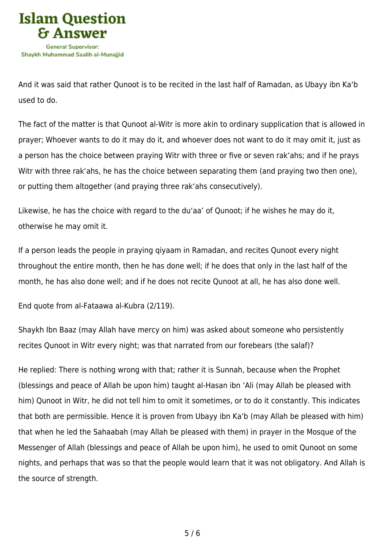

And it was said that rather Qunoot is to be recited in the last half of Ramadan, as Ubayy ibn Ka'b used to do.

The fact of the matter is that Qunoot al-Witr is more akin to ordinary supplication that is allowed in prayer; Whoever wants to do it may do it, and whoever does not want to do it may omit it, just as a person has the choice between praying Witr with three or five or seven rak'ahs; and if he prays Witr with three rak'ahs, he has the choice between separating them (and praying two then one), or putting them altogether (and praying three rak'ahs consecutively).

Likewise, he has the choice with regard to the du'aa' of Qunoot; if he wishes he may do it, otherwise he may omit it.

If a person leads the people in praying qiyaam in Ramadan, and recites Qunoot every night throughout the entire month, then he has done well; if he does that only in the last half of the month, he has also done well; and if he does not recite Qunoot at all, he has also done well.

End quote from al-Fataawa al-Kubra (2/119).

Shaykh Ibn Baaz (may Allah have mercy on him) was asked about someone who persistently recites Qunoot in Witr every night; was that narrated from our forebears (the salaf)?

He replied: There is nothing wrong with that; rather it is Sunnah, because when the Prophet (blessings and peace of Allah be upon him) taught al-Hasan ibn 'Ali (may Allah be pleased with him) Qunoot in Witr, he did not tell him to omit it sometimes, or to do it constantly. This indicates that both are permissible. Hence it is proven from Ubayy ibn Ka'b (may Allah be pleased with him) that when he led the Sahaabah (may Allah be pleased with them) in prayer in the Mosque of the Messenger of Allah (blessings and peace of Allah be upon him), he used to omit Qunoot on some nights, and perhaps that was so that the people would learn that it was not obligatory. And Allah is the source of strength.